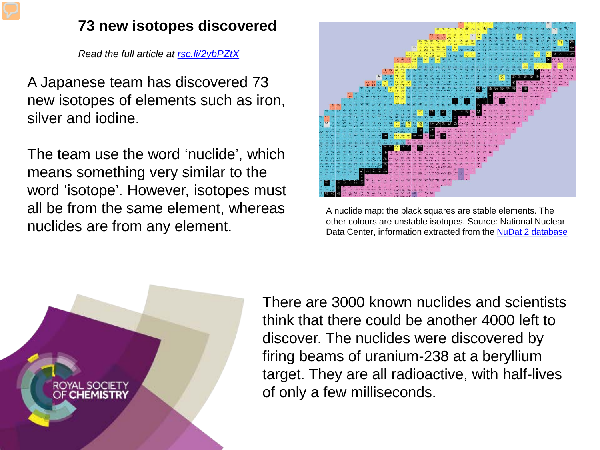## **73 new isotopes discovered**

*Read the full article at [rsc.li/2ybPZtX](https://rsc.li/2ybPZtX)*

A Japanese team has discovered 73 new isotopes of elements such as iron, silver and iodine.

The team use the word 'nuclide', which means something very similar to the word 'isotope'. However, isotopes must all be from the same element, whereas nuclides are from any element.



A nuclide map: the black squares are stable elements. The other colours are unstable isotopes. Source: National Nuclear Data Center, information extracted from the [NuDat 2 database](http://www.nndc.bnl.gov/nudat2/)



There are 3000 known nuclides and scientists think that there could be another 4000 left to discover. The nuclides were discovered by firing beams of uranium-238 at a beryllium target. They are all radioactive, with half-lives of only a few milliseconds.